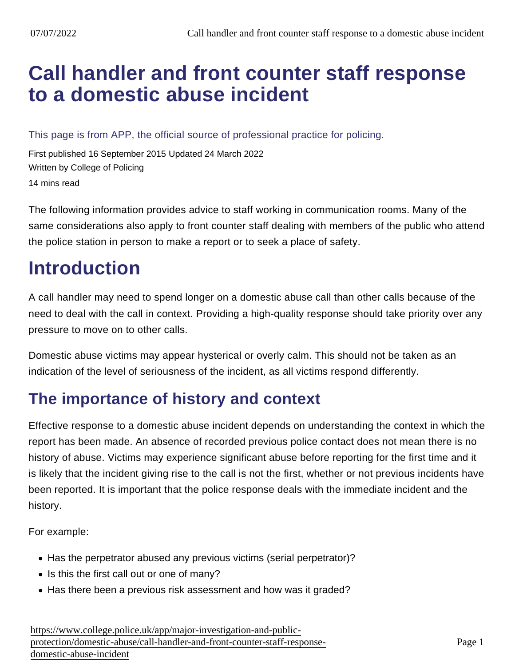# [Call handler and front counter staff response](https://www.college.police.uk/app/major-investigation-and-public-protection/domestic-abuse/call-handler-and-front-counter-staff-response-domestic-abuse-incident) to a domestic abuse incident

This page is from APP, the official source of professional practice for policing.

First published 16 September 2015 Updated 24 March 2022 Written by College of Policing 14 mins read

The following information provides advice to staff working in communication rooms. Many of the same considerations also apply to front counter staff dealing with members of the public who attend the police station in person to make a report or to seek a place of safety.

# **Introduction**

A call handler may need to spend longer on a domestic abuse call than other calls because of the need to deal with the call in context. Providing a high-quality response should take priority over any pressure to move on to other calls.

Domestic abuse victims may appear hysterical or overly calm. This should not be taken as an indication of the level of seriousness of the incident, as all victims respond differently.

### The importance of history and context

Effective response to a domestic abuse incident depends on understanding the context in which the report has been made. An absence of recorded previous police contact does not mean there is no history of abuse. Victims may experience significant abuse before reporting for the first time and it is likely that the incident giving rise to the call is not the first, whether or not previous incidents have been reported. It is important that the police response deals with the immediate incident and the history.

For example:

- Has the perpetrator abused any previous victims (serial perpetrator)?
- Is this the first call out or one of many?
- Has there been a previous risk assessment and how was it graded?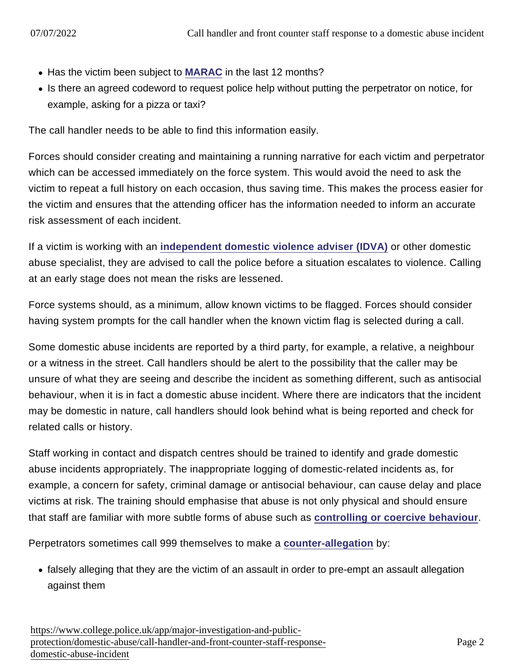- Has the victim been subject to [MARAC](https://www.app.college.police.uk/app-content/major-investigation-and-public-protection/domestic-abuse/partnership-working-and-multi-agency-responses/#multi-agency-risk-assessment-conferences-for-domestic-abuse-) in the last 12 months?
- Is there an agreed codeword to request police help without putting the perpetrator on notice, for example, asking for a pizza or taxi?

The call handler needs to be able to find this information easily.

Forces should consider creating and maintaining a running narrative for each victim and perpetrator which can be accessed immediately on the force system. This would avoid the need to ask the victim to repeat a full history on each occasion, thus saving time. This makes the process easier for the victim and ensures that the attending officer has the information needed to inform an accurate risk assessment of each incident.

If a victim is working with an [independent domestic violence adviser \(IDVA\)](https://www.app.college.police.uk/app-content/major-investigation-and-public-protection/domestic-abuse/victim-safety-and-support/#independent-domestic-violence-adviser-young-people8217s-violence-adviser-and-independent-sexual-violence-advisers) or other domestic abuse specialist, they are advised to call the police before a situation escalates to violence. Calling at an early stage does not mean the risks are lessened.

Force systems should, as a minimum, allow known victims to be flagged. Forces should consider having system prompts for the call handler when the known victim flag is selected during a call.

Some domestic abuse incidents are reported by a third party, for example, a relative, a neighbour or a witness in the street. Call handlers should be alert to the possibility that the caller may be unsure of what they are seeing and describe the incident as something different, such as antisocial behaviour, when it is in fact a domestic abuse incident. Where there are indicators that the incident may be domestic in nature, call handlers should look behind what is being reported and check for related calls or history.

Staff working in contact and dispatch centres should be trained to identify and grade domestic abuse incidents appropriately. The inappropriate logging of domestic-related incidents as, for example, a concern for safety, criminal damage or antisocial behaviour, can cause delay and place victims at risk. The training should emphasise that abuse is not only physical and should ensure that staff are familiar with more subtle forms of abuse such as [controlling or coercive behaviour](https://www.app.college.police.uk/app-content/major-investigation-and-public-protection/domestic-abuse/context/#coercive-and-controlling-behaviour) .

Perpetrators sometimes call 999 themselves to make a [counter-allegation](https://www.app.college.police.uk/app-content/major-investigation-and-public-protection/domestic-abuse/first-response/#determining-the-primary-perpetrator-and-dealing-with-counter-allegations) by:

falsely alleging that they are the victim of an assault in order to pre-empt an assault allegation against them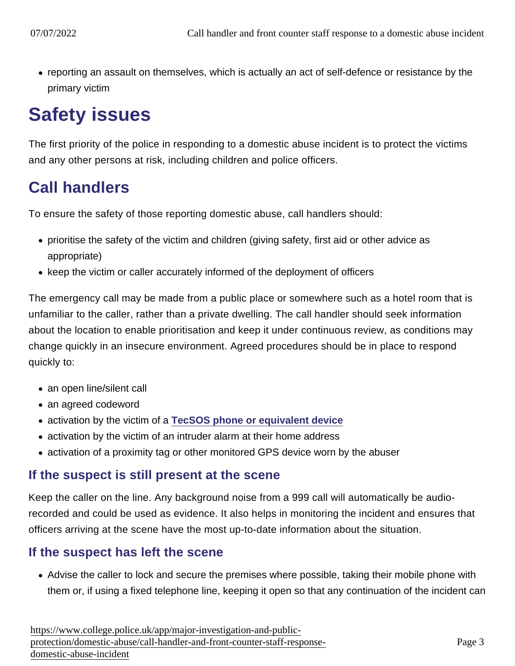reporting an assault on themselves, which is actually an act of self-defence or resistance by the primary victim

# Safety issues

The first priority of the police in responding to a domestic abuse incident is to protect the victims and any other persons at risk, including children and police officers.

### Call handlers

To ensure the safety of those reporting domestic abuse, call handlers should:

- prioritise the safety of the victim and children (giving safety, first aid or other advice as appropriate)
- keep the victim or caller accurately informed of the deployment of officers

The emergency call may be made from a public place or somewhere such as a hotel room that is unfamiliar to the caller, rather than a private dwelling. The call handler should seek information about the location to enable prioritisation and keep it under continuous review, as conditions may change quickly in an insecure environment. Agreed procedures should be in place to respond quickly to:

- an open line/silent call
- an agreed codeword
- activation by the victim of a [TecSOS phone or equivalent device](https://www.app.college.police.uk/app-content/major-investigation-and-public-protection/domestic-abuse/victim-safety-and-support/#technology)
- activation by the victim of an intruder alarm at their home address
- activation of a proximity tag or other monitored GPS device worn by the abuser

#### If the suspect is still present at the scene

Keep the caller on the line. Any background noise from a 999 call will automatically be audiorecorded and could be used as evidence. It also helps in monitoring the incident and ensures that officers arriving at the scene have the most up-to-date information about the situation.

#### If the suspect has left the scene

Advise the caller to lock and secure the premises where possible, taking their mobile phone with them or, if using a fixed telephone line, keeping it open so that any continuation of the incident can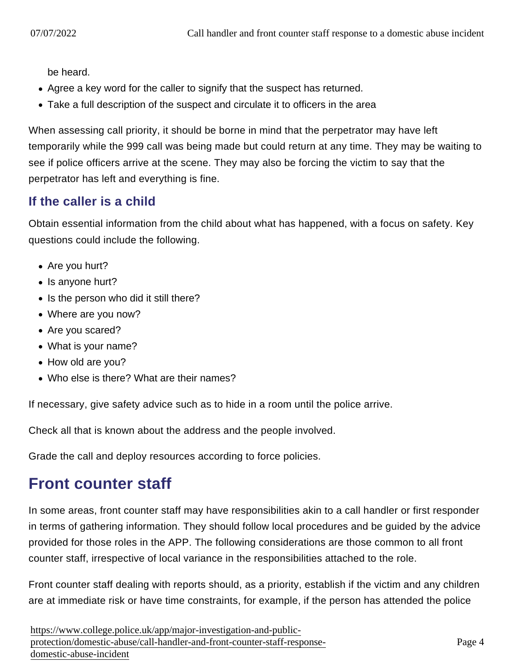be heard.

- Agree a key word for the caller to signify that the suspect has returned.
- Take a full description of the suspect and circulate it to officers in the area

When assessing call priority, it should be borne in mind that the perpetrator may have left temporarily while the 999 call was being made but could return at any time. They may be waiting to see if police officers arrive at the scene. They may also be forcing the victim to say that the perpetrator has left and everything is fine.

#### If the caller is a child

Obtain essential information from the child about what has happened, with a focus on safety. Key questions could include the following.

- Are you hurt?
- Is anyone hurt?
- Is the person who did it still there?
- Where are you now?
- Are you scared?
- What is your name?
- How old are you?
- Who else is there? What are their names?

If necessary, give safety advice such as to hide in a room until the police arrive.

Check all that is known about the address and the people involved.

Grade the call and deploy resources according to force policies.

### Front counter staff

In some areas, front counter staff may have responsibilities akin to a call handler or first responder in terms of gathering information. They should follow local procedures and be guided by the advice provided for those roles in the APP. The following considerations are those common to all front counter staff, irrespective of local variance in the responsibilities attached to the role.

Front counter staff dealing with reports should, as a priority, establish if the victim and any children are at immediate risk or have time constraints, for example, if the person has attended the police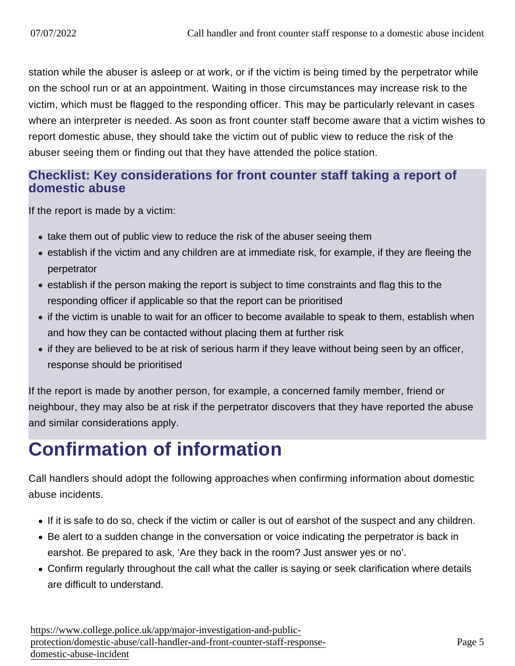station while the abuser is asleep or at work, or if the victim is being timed by the perpetrator while on the school run or at an appointment. Waiting in those circumstances may increase risk to the victim, which must be flagged to the responding officer. This may be particularly relevant in cases where an interpreter is needed. As soon as front counter staff become aware that a victim wishes to report domestic abuse, they should take the victim out of public view to reduce the risk of the abuser seeing them or finding out that they have attended the police station.

#### Checklist: Key considerations for front counter staff taking a report of domestic abuse

If the report is made by a victim:

- take them out of public view to reduce the risk of the abuser seeing them
- establish if the victim and any children are at immediate risk, for example, if they are fleeing the perpetrator
- establish if the person making the report is subject to time constraints and flag this to the responding officer if applicable so that the report can be prioritised
- if the victim is unable to wait for an officer to become available to speak to them, establish when and how they can be contacted without placing them at further risk
- if they are believed to be at risk of serious harm if they leave without being seen by an officer, response should be prioritised

If the report is made by another person, for example, a concerned family member, friend or neighbour, they may also be at risk if the perpetrator discovers that they have reported the abuse and similar considerations apply.

# Confirmation of information

Call handlers should adopt the following approaches when confirming information about domestic abuse incidents.

- If it is safe to do so, check if the victim or caller is out of earshot of the suspect and any children.
- Be alert to a sudden change in the conversation or voice indicating the perpetrator is back in earshot. Be prepared to ask, 'Are they back in the room? Just answer yes or no'.
- Confirm regularly throughout the call what the caller is saying or seek clarification where details are difficult to understand.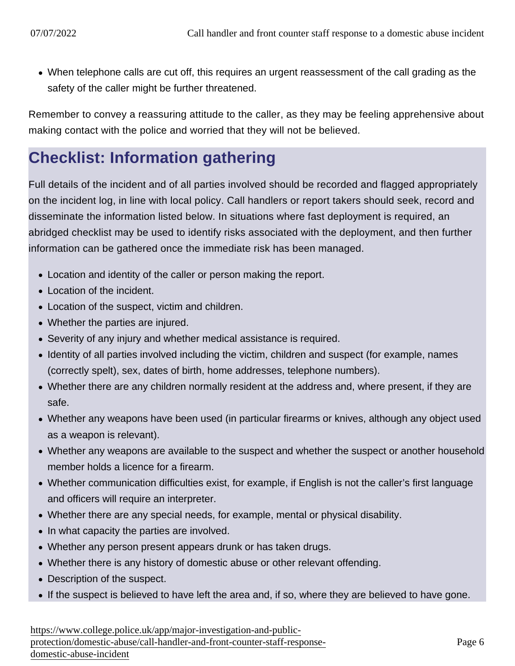When telephone calls are cut off, this requires an urgent reassessment of the call grading as the safety of the caller might be further threatened.

Remember to convey a reassuring attitude to the caller, as they may be feeling apprehensive about making contact with the police and worried that they will not be believed.

### Checklist: Information gathering

Full details of the incident and of all parties involved should be recorded and flagged appropriately on the incident log, in line with local policy. Call handlers or report takers should seek, record and disseminate the information listed below. In situations where fast deployment is required, an abridged checklist may be used to identify risks associated with the deployment, and then further information can be gathered once the immediate risk has been managed.

- Location and identity of the caller or person making the report.
- Location of the incident.
- Location of the suspect, victim and children.
- Whether the parties are injured.
- Severity of any injury and whether medical assistance is required.
- Identity of all parties involved including the victim, children and suspect (for example, names (correctly spelt), sex, dates of birth, home addresses, telephone numbers).
- Whether there are any children normally resident at the address and, where present, if they are safe.
- Whether any weapons have been used (in particular firearms or knives, although any object used as a weapon is relevant).
- Whether any weapons are available to the suspect and whether the suspect or another household member holds a licence for a firearm.
- Whether communication difficulties exist, for example, if English is not the caller's first language and officers will require an interpreter.
- Whether there are any special needs, for example, mental or physical disability.
- In what capacity the parties are involved.
- Whether any person present appears drunk or has taken drugs.
- Whether there is any history of domestic abuse or other relevant offending.
- Description of the suspect.
- If the suspect is believed to have left the area and, if so, where they are believed to have gone.

[https://www.college.police.uk/app/major-investigation-and-pu](https://www.college.police.uk/app/major-investigation-and-public-protection/domestic-abuse/call-handler-and-front-counter-staff-response-domestic-abuse-incident)blic[protection/domestic-abuse/call-handler-and-front-counter-staff-resp](https://www.college.police.uk/app/major-investigation-and-public-protection/domestic-abuse/call-handler-and-front-counter-staff-response-domestic-abuse-incident)onse[domestic-abuse-incide](https://www.college.police.uk/app/major-investigation-and-public-protection/domestic-abuse/call-handler-and-front-counter-staff-response-domestic-abuse-incident)nt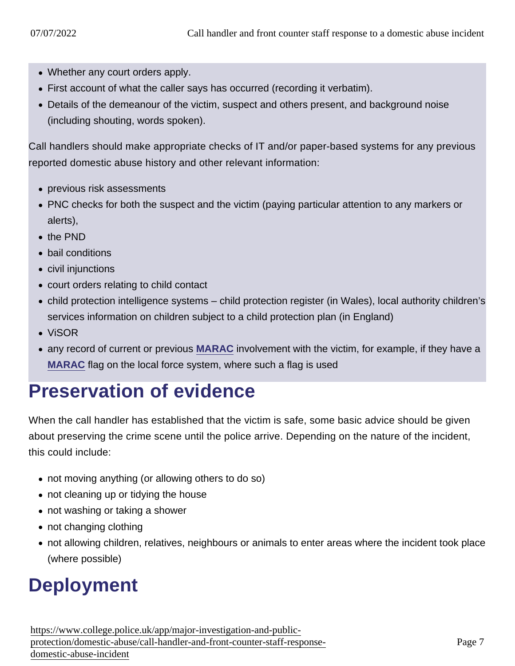- Whether any court orders apply.
- First account of what the caller says has occurred (recording it verbatim).
- Details of the demeanour of the victim, suspect and others present, and background noise (including shouting, words spoken).

Call handlers should make appropriate checks of IT and/or paper-based systems for any previous reported domestic abuse history and other relevant information:

- previous risk assessments
- PNC checks for both the suspect and the victim (paying particular attention to any markers or alerts),
- the PND
- bail conditions
- civil injunctions
- court orders relating to child contact
- child protection intelligence systems child protection register (in Wales), local authority children's services information on children subject to a child protection plan (in England)
- ViSOR
- any record of current or previous [MARAC](https://www.app.college.police.uk/app-content/major-investigation-and-public-protection/domestic-abuse/partnership-working-and-multi-agency-responses/#multi-agency-risk-assessment-conferences-for-domestic-abuse-) involvement with the victim, for example, if they have a [MARAC](https://www.app.college.police.uk/app-content/major-investigation-and-public-protection/domestic-abuse/partnership-working-and-multi-agency-responses/#multi-agency-risk-assessment-conferences-for-domestic-abuse-) flag on the local force system, where such a flag is used

# Preservation of evidence

When the call handler has established that the victim is safe, some basic advice should be given about preserving the crime scene until the police arrive. Depending on the nature of the incident, this could include:

- not moving anything (or allowing others to do so)
- not cleaning up or tidying the house
- not washing or taking a shower
- not changing clothing
- not allowing children, relatives, neighbours or animals to enter areas where the incident took place (where possible)

# **Deployment**

[https://www.college.police.uk/app/major-investigation-and-pu](https://www.college.police.uk/app/major-investigation-and-public-protection/domestic-abuse/call-handler-and-front-counter-staff-response-domestic-abuse-incident)blic[protection/domestic-abuse/call-handler-and-front-counter-staff-resp](https://www.college.police.uk/app/major-investigation-and-public-protection/domestic-abuse/call-handler-and-front-counter-staff-response-domestic-abuse-incident)onse[domestic-abuse-incide](https://www.college.police.uk/app/major-investigation-and-public-protection/domestic-abuse/call-handler-and-front-counter-staff-response-domestic-abuse-incident)nt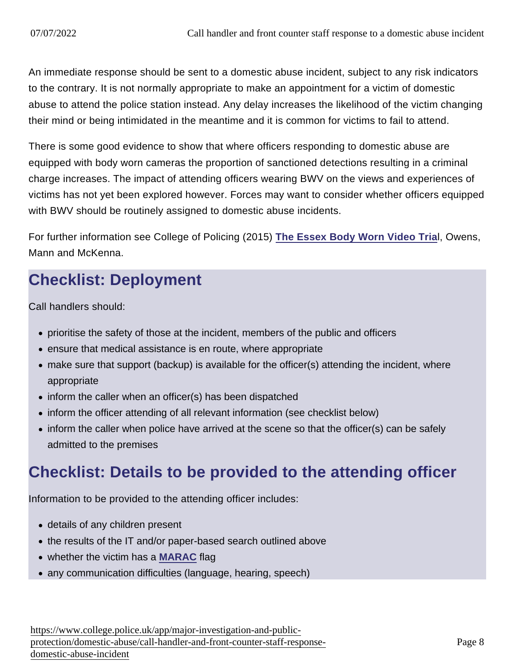An immediate response should be sent to a domestic abuse incident, subject to any risk indicators to the contrary. It is not normally appropriate to make an appointment for a victim of domestic abuse to attend the police station instead. Any delay increases the likelihood of the victim changing their mind or being intimidated in the meantime and it is common for victims to fail to attend.

There is some good evidence to show that where officers responding to domestic abuse are equipped with body worn cameras the proportion of sanctioned detections resulting in a criminal charge increases. The impact of attending officers wearing BWV on the views and experiences of victims has not yet been explored however. Forces may want to consider whether officers equipped with BWV should be routinely assigned to domestic abuse incidents.

For further information see College of Policing (2015) [The Essex Body Worn Video Tria](http://www.bwvsg.com/wp-content/uploads/2013/07/BWV_ReportEssTrial.pdf) l, Owens, Mann and McKenna.

## Checklist: Deployment

Call handlers should:

- prioritise the safety of those at the incident, members of the public and officers
- ensure that medical assistance is en route, where appropriate
- make sure that support (backup) is available for the officer(s) attending the incident, where appropriate
- inform the caller when an officer(s) has been dispatched
- inform the officer attending of all relevant information (see checklist below)
- inform the caller when police have arrived at the scene so that the officer(s) can be safely admitted to the premises

### Checklist: Details to be provided to the attending officer

Information to be provided to the attending officer includes:

- details of any children present
- the results of the IT and/or paper-based search outlined above
- whether the victim has a [MARAC](https://www.app.college.police.uk/app-content/major-investigation-and-public-protection/domestic-abuse/partnership-working-and-multi-agency-responses/#multi-agency-risk-assessment-conferences-for-domestic-abuse-) flag
- any communication difficulties (language, hearing, speech)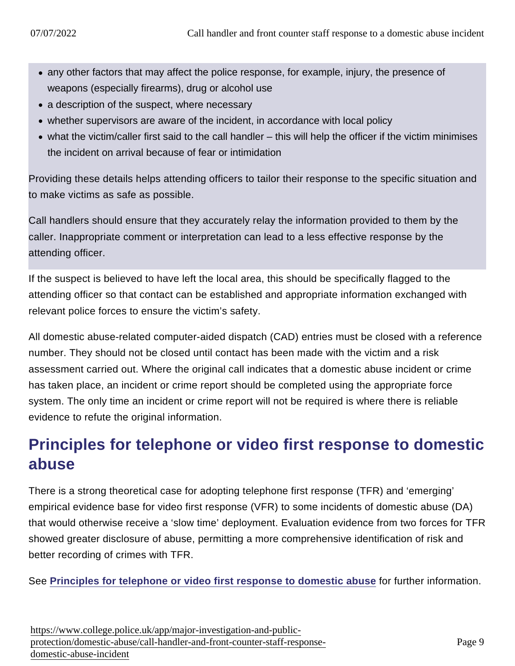- any other factors that may affect the police response, for example, injury, the presence of weapons (especially firearms), drug or alcohol use
- a description of the suspect, where necessary
- whether supervisors are aware of the incident, in accordance with local policy
- what the victim/caller first said to the call handler this will help the officer if the victim minimises the incident on arrival because of fear or intimidation

Providing these details helps attending officers to tailor their response to the specific situation and to make victims as safe as possible.

Call handlers should ensure that they accurately relay the information provided to them by the caller. Inappropriate comment or interpretation can lead to a less effective response by the attending officer.

If the suspect is believed to have left the local area, this should be specifically flagged to the attending officer so that contact can be established and appropriate information exchanged with relevant police forces to ensure the victim's safety.

All domestic abuse-related computer-aided dispatch (CAD) entries must be closed with a reference number. They should not be closed until contact has been made with the victim and a risk assessment carried out. Where the original call indicates that a domestic abuse incident or crime has taken place, an incident or crime report should be completed using the appropriate force system. The only time an incident or crime report will not be required is where there is reliable evidence to refute the original information.

## Principles for telephone or video first response to domestic abuse

There is a strong theoretical case for adopting telephone first response (TFR) and 'emerging' empirical evidence base for video first response (VFR) to some incidents of domestic abuse (DA) that would otherwise receive a 'slow time' deployment. Evaluation evidence from two forces for TFR showed greater disclosure of abuse, permitting a more comprehensive identification of risk and better recording of crimes with TFR.

See [Principles for telephone or video first response to domestic abuse](https://library.college.police.uk/docs/college-of-policing/Telephone-and-video-first-for-domestic-abuse-2022.pdf) for further information.